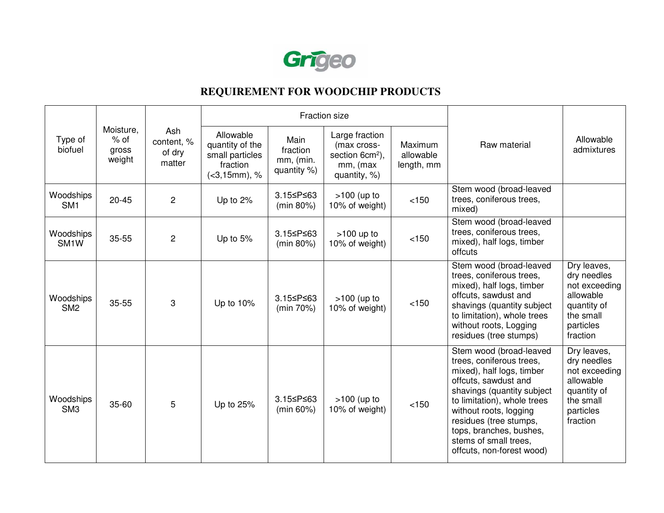

## **REQUIREMENT FOR WOODCHIP PRODUCTS**

| Type of<br>biofuel             | Moisture,<br>$%$ of<br>gross<br>weight | Ash<br>content, %<br>of dry<br>matter | Fraction size                                                                   |                                              |                                                                                          |                                    |                                                                                                                                                                                                                                                                                                            |                                                                                                               |
|--------------------------------|----------------------------------------|---------------------------------------|---------------------------------------------------------------------------------|----------------------------------------------|------------------------------------------------------------------------------------------|------------------------------------|------------------------------------------------------------------------------------------------------------------------------------------------------------------------------------------------------------------------------------------------------------------------------------------------------------|---------------------------------------------------------------------------------------------------------------|
|                                |                                        |                                       | Allowable<br>quantity of the<br>small particles<br>fraction<br>$(<3, 15mm)$ , % | Main<br>fraction<br>mm, (min.<br>quantity %) | Large fraction<br>(max cross-<br>section 6cm <sup>2</sup> ),<br>mm, (max<br>quantity, %) | Maximum<br>allowable<br>length, mm | Raw material                                                                                                                                                                                                                                                                                               | Allowable<br>admixtures                                                                                       |
| Woodships<br>SM <sub>1</sub>   | $20 - 45$                              | $\overline{c}$                        | Up to 2%                                                                        | 3.15≤P≤63<br>(min 80%)                       | $>100$ (up to<br>10% of weight)                                                          | < 150                              | Stem wood (broad-leaved<br>trees, coniferous trees,<br>mixed)                                                                                                                                                                                                                                              |                                                                                                               |
| Woodships<br>SM <sub>1</sub> W | 35-55                                  | $\overline{c}$                        | Up to 5%                                                                        | 3.15≤P≤63<br>(min 80%)                       | $>100$ up to<br>10% of weight)                                                           | $<150$                             | Stem wood (broad-leaved<br>trees, coniferous trees,<br>mixed), half logs, timber<br>offcuts                                                                                                                                                                                                                |                                                                                                               |
| Woodships<br>SM <sub>2</sub>   | 35-55                                  | 3                                     | Up to 10%                                                                       | 3.15≤P≤63<br>(min 70%)                       | $>100$ (up to<br>10% of weight)                                                          | < 150                              | Stem wood (broad-leaved<br>trees, coniferous trees,<br>mixed), half logs, timber<br>offcuts, sawdust and<br>shavings (quantity subject<br>to limitation), whole trees<br>without roots, Logging<br>residues (tree stumps)                                                                                  | Dry leaves,<br>dry needles<br>not exceeding<br>allowable<br>quantity of<br>the small<br>particles<br>fraction |
| Woodships<br>SM <sub>3</sub>   | 35-60                                  | 5                                     | Up to 25%                                                                       | 3.15≤P≤63<br>$(min 60\%)$                    | $>100$ (up to<br>10% of weight)                                                          | < 150                              | Stem wood (broad-leaved<br>trees, coniferous trees,<br>mixed), half logs, timber<br>offcuts, sawdust and<br>shavings (quantity subject<br>to limitation), whole trees<br>without roots, logging<br>residues (tree stumps,<br>tops, branches, bushes,<br>stems of small trees.<br>offcuts, non-forest wood) | Dry leaves,<br>dry needles<br>not exceeding<br>allowable<br>quantity of<br>the small<br>particles<br>fraction |